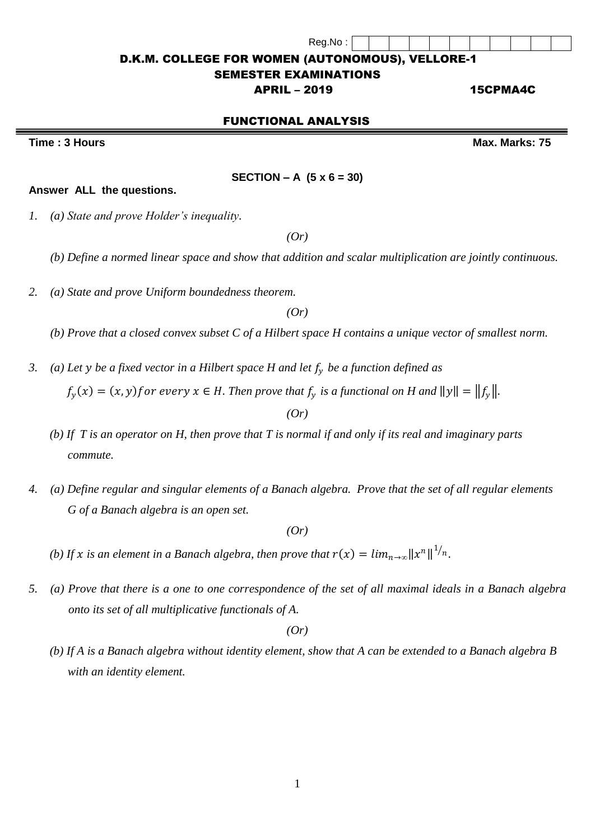#### D.K.M. COLLEGE FOR WOMEN (AUTONOMOUS), VELLORE-1

#### SEMESTER EXAMINATIONS

## APRIL – 2019 15CPMA4C

## FUNCTIONAL ANALYSIS

**SECTION – A (5 x 6 = 30)**

**Time : 3 Hours Max.** Marks: 75

**Answer ALL the questions.** 

*1. (a) State and prove Holder's inequality.*

*(Or)*

*(b) Define a normed linear space and show that addition and scalar multiplication are jointly continuous.* 

*2. (a) State and prove Uniform boundedness theorem.*

*(Or)*

*(b) Prove that a closed convex subset C of a Hilbert space H contains a unique vector of smallest norm.*

- *3. (a) Let be a fixed vector in a Hilbert space H and let be a function defined as*   $f_y(x) = (x, y)$  for every  $x \in H$ . Then prove that  $f_y$  is a functional on H and  $||y|| = ||f_y||$ . *(Or)*
	- *(b) If T is an operator on H, then prove that T is normal if and only if its real and imaginary parts commute.*
- *4. (a) Define regular and singular elements of a Banach algebra. Prove that the set of all regular elements G of a Banach algebra is an open set.*

*(Or)*

- *(b)* If x is an element in a Banach algebra, then prove that  $r(x) = \lim_{n \to \infty} ||x^n||^{1/n}$ .
- *5. (a) Prove that there is a one to one correspondence of the set of all maximal ideals in a Banach algebra onto its set of all multiplicative functionals of A.*

*(Or)*

 *(b) If A is a Banach algebra without identity element, show that A can be extended to a Banach algebra B with an identity element.*